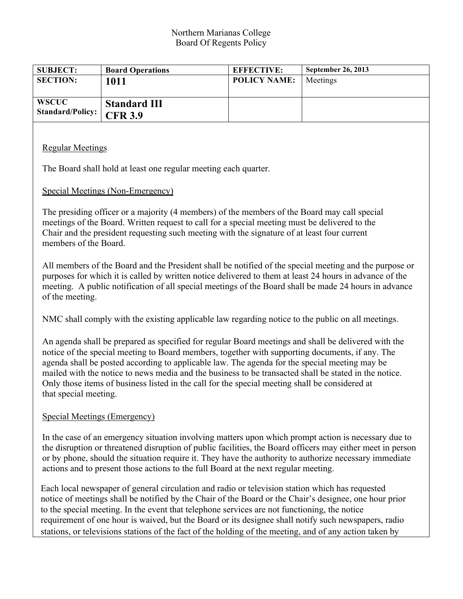#### Northern Marianas College Board Of Regents Policy

| <b>SUBJECT:</b>                  | <b>Board Operations</b>               | <b>EFFECTIVE:</b>   | <b>September 26, 2013</b> |
|----------------------------------|---------------------------------------|---------------------|---------------------------|
| <b>SECTION:</b>                  | 1011                                  | <b>POLICY NAME:</b> | Meetings                  |
| <b>WSCUC</b><br>Standard/Policy: | <b>Standard III</b><br><b>CFR 3.9</b> |                     |                           |

### Regular Meetings

The Board shall hold at least one regular meeting each quarter.

### Special Meetings (Non-Emergency)

The presiding officer or a majority (4 members) of the members of the Board may call special meetings of the Board. Written request to call for a special meeting must be delivered to the Chair and the president requesting such meeting with the signature of at least four current members of the Board.

All members of the Board and the President shall be notified of the special meeting and the purpose or purposes for which it is called by written notice delivered to them at least 24 hours in advance of the meeting. A public notification of all special meetings of the Board shall be made 24 hours in advance of the meeting.

NMC shall comply with the existing applicable law regarding notice to the public on all meetings.

An agenda shall be prepared as specified for regular Board meetings and shall be delivered with the notice of the special meeting to Board members, together with supporting documents, if any. The agenda shall be posted according to applicable law. The agenda for the special meeting may be mailed with the notice to news media and the business to be transacted shall be stated in the notice. Only those items of business listed in the call for the special meeting shall be considered at that special meeting.

### Special Meetings (Emergency)

In the case of an emergency situation involving matters upon which prompt action is necessary due to the disruption or threatened disruption of public facilities, the Board officers may either meet in person or by phone, should the situation require it. They have the authority to authorize necessary immediate actions and to present those actions to the full Board at the next regular meeting.

Each local newspaper of general circulation and radio or television station which has requested notice of meetings shall be notified by the Chair of the Board or the Chair's designee, one hour prior to the special meeting. In the event that telephone services are not functioning, the notice requirement of one hour is waived, but the Board or its designee shall notify such newspapers, radio stations, or televisions stations of the fact of the holding of the meeting, and of any action taken by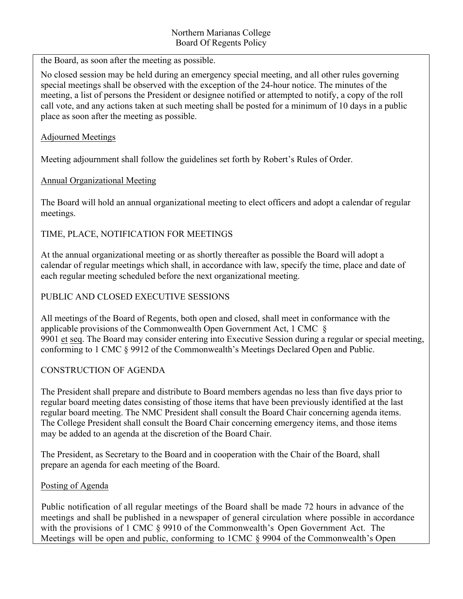the Board, as soon after the meeting as possible.

No closed session may be held during an emergency special meeting, and all other rules governing special meetings shall be observed with the exception of the 24-hour notice. The minutes of the meeting, a list of persons the President or designee notified or attempted to notify, a copy of the roll call vote, and any actions taken at such meeting shall be posted for a minimum of 10 days in a public place as soon after the meeting as possible.

## Adjourned Meetings

Meeting adjournment shall follow the guidelines set forth by Robert's Rules of Order.

# Annual Organizational Meeting

The Board will hold an annual organizational meeting to elect officers and adopt a calendar of regular meetings.

# TIME, PLACE, NOTIFICATION FOR MEETINGS

At the annual organizational meeting or as shortly thereafter as possible the Board will adopt a calendar of regular meetings which shall, in accordance with law, specify the time, place and date of each regular meeting scheduled before the next organizational meeting.

## PUBLIC AND CLOSED EXECUTIVE SESSIONS

All meetings of the Board of Regents, both open and closed, shall meet in conformance with the applicable provisions of the Commonwealth Open Government Act, 1 CMC § 9901 et seq. The Board may consider entering into Executive Session during a regular or special meeting, conforming to 1 CMC § 9912 of the Commonwealth's Meetings Declared Open and Public.

# CONSTRUCTION OF AGENDA

The President shall prepare and distribute to Board members agendas no less than five days prior to regular board meeting dates consisting of those items that have been previously identified at the last regular board meeting. The NMC President shall consult the Board Chair concerning agenda items. The College President shall consult the Board Chair concerning emergency items, and those items may be added to an agenda at the discretion of the Board Chair.

The President, as Secretary to the Board and in cooperation with the Chair of the Board, shall prepare an agenda for each meeting of the Board.

# Posting of Agenda

Public notification of all regular meetings of the Board shall be made 72 hours in advance of the meetings and shall be published in a newspaper of general circulation where possible in accordance with the provisions of 1 CMC § 9910 of the Commonwealth's Open Government Act. The Meetings will be open and public, conforming to 1CMC § 9904 of the Commonwealth's Open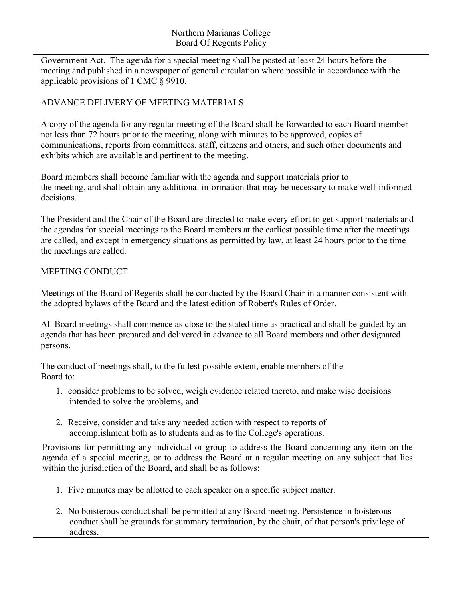Government Act. The agenda for a special meeting shall be posted at least 24 hours before the meeting and published in a newspaper of general circulation where possible in accordance with the applicable provisions of 1 CMC § 9910.

# ADVANCE DELIVERY OF MEETING MATERIALS

A copy of the agenda for any regular meeting of the Board shall be forwarded to each Board member not less than 72 hours prior to the meeting, along with minutes to be approved, copies of communications, reports from committees, staff, citizens and others, and such other documents and exhibits which are available and pertinent to the meeting.

Board members shall become familiar with the agenda and support materials prior to the meeting, and shall obtain any additional information that may be necessary to make well-informed decisions.

The President and the Chair of the Board are directed to make every effort to get support materials and the agendas for special meetings to the Board members at the earliest possible time after the meetings are called, and except in emergency situations as permitted by law, at least 24 hours prior to the time the meetings are called.

## MEETING CONDUCT

Meetings of the Board of Regents shall be conducted by the Board Chair in a manner consistent with the adopted bylaws of the Board and the latest edition of Robert's Rules of Order.

All Board meetings shall commence as close to the stated time as practical and shall be guided by an agenda that has been prepared and delivered in advance to all Board members and other designated persons.

The conduct of meetings shall, to the fullest possible extent, enable members of the Board to:

- 1. consider problems to be solved, weigh evidence related thereto, and make wise decisions intended to solve the problems, and
- 2. Receive, consider and take any needed action with respect to reports of accomplishment both as to students and as to the College's operations.

Provisions for permitting any individual or group to address the Board concerning any item on the agenda of a special meeting, or to address the Board at a regular meeting on any subject that lies within the jurisdiction of the Board, and shall be as follows:

- 1. Five minutes may be allotted to each speaker on a specific subject matter.
- 2. No boisterous conduct shall be permitted at any Board meeting. Persistence in boisterous conduct shall be grounds for summary termination, by the chair, of that person's privilege of address.